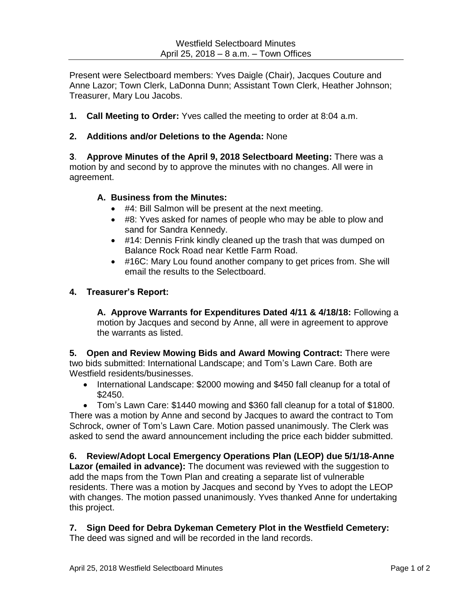Present were Selectboard members: Yves Daigle (Chair), Jacques Couture and Anne Lazor; Town Clerk, LaDonna Dunn; Assistant Town Clerk, Heather Johnson; Treasurer, Mary Lou Jacobs.

**1. Call Meeting to Order:** Yves called the meeting to order at 8:04 a.m.

### **2. Additions and/or Deletions to the Agenda:** None

**3**. **Approve Minutes of the April 9, 2018 Selectboard Meeting:** There was a motion by and second by to approve the minutes with no changes. All were in agreement.

### **A. Business from the Minutes:**

- #4: Bill Salmon will be present at the next meeting.
- #8: Yves asked for names of people who may be able to plow and sand for Sandra Kennedy.
- #14: Dennis Frink kindly cleaned up the trash that was dumped on Balance Rock Road near Kettle Farm Road.
- #16C: Mary Lou found another company to get prices from. She will email the results to the Selectboard.

### **4. Treasurer's Report:**

**A. Approve Warrants for Expenditures Dated 4/11 & 4/18/18:** Following a motion by Jacques and second by Anne, all were in agreement to approve the warrants as listed.

**5. Open and Review Mowing Bids and Award Mowing Contract:** There were two bids submitted: International Landscape; and Tom's Lawn Care. Both are Westfield residents/businesses.

• International Landscape: \$2000 mowing and \$450 fall cleanup for a total of \$2450.

 Tom's Lawn Care: \$1440 mowing and \$360 fall cleanup for a total of \$1800. There was a motion by Anne and second by Jacques to award the contract to Tom Schrock, owner of Tom's Lawn Care. Motion passed unanimously. The Clerk was asked to send the award announcement including the price each bidder submitted.

# **6. Review/Adopt Local Emergency Operations Plan (LEOP) due 5/1/18-Anne**

**Lazor (emailed in advance):** The document was reviewed with the suggestion to add the maps from the Town Plan and creating a separate list of vulnerable residents. There was a motion by Jacques and second by Yves to adopt the LEOP with changes. The motion passed unanimously. Yves thanked Anne for undertaking this project.

## **7. Sign Deed for Debra Dykeman Cemetery Plot in the Westfield Cemetery:**

The deed was signed and will be recorded in the land records.